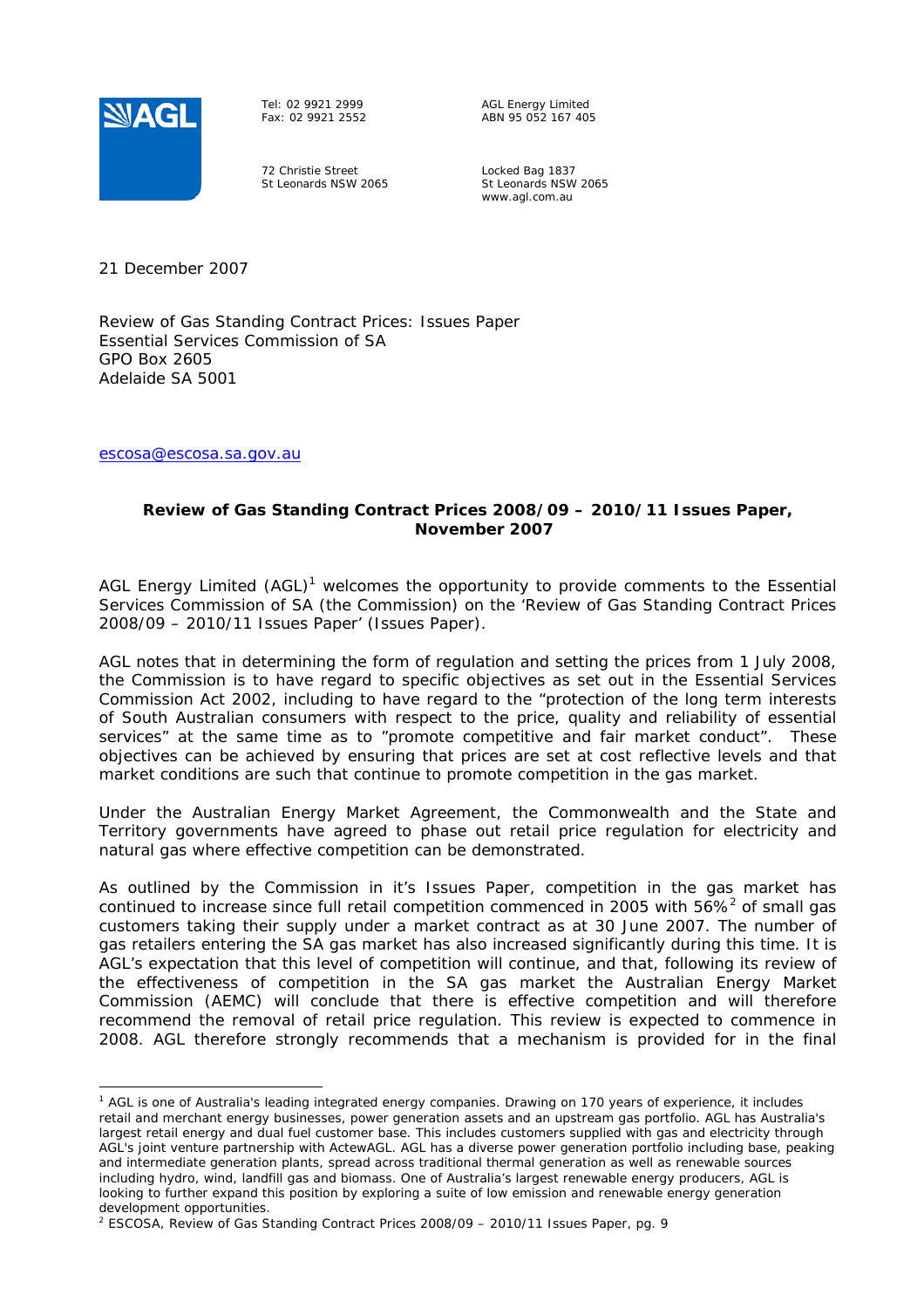

Tel: 02 9921 2999 Fax: 02 9921 2552

AGL Energy Limited ABN 95 052 167 405

72 Christie Street St Leonards NSW 2065 Locked Bag 1837 St Leonards NSW 2065 www.agl.com.au

21 December 2007

Review of Gas Standing Contract Prices: Issues Paper Essential Services Commission of SA GPO Box 2605 Adelaide SA 5001

escosa@escosa.sa.gov.au

## **Review of Gas Standing Contract Prices 2008/09 – 2010/11 Issues Paper, November 2007**

AGL Energy Limited (AGL)<sup>1</sup> welcomes the opportunity to provide comments to the Essential Services Commission of SA (the Commission) on the 'Review of Gas Standing Contract Prices 2008/09 – 2010/11 Issues Paper' (Issues Paper).

AGL notes that in determining the form of regulation and setting the prices from 1 July 2008, the Commission is to have regard to specific objectives as set out in the Essential Services Commission Act 2002, including to have regard to the "protection of the long term interests of South Australian consumers with respect to the price, quality and reliability of essential services" at the same time as to "promote competitive and fair market conduct". These objectives can be achieved by ensuring that prices are set at cost reflective levels and that market conditions are such that continue to promote competition in the gas market.

Under the Australian Energy Market Agreement, the Commonwealth and the State and Territory governments have agreed to phase out retail price regulation for electricity and natural gas where effective competition can be demonstrated.

As outlined by the Commission in it's Issues Paper, competition in the gas market has continued to increase since full retail competition commenced in 2005 with  $56\%^2$  of small gas customers taking their supply under a market contract as at 30 June 2007. The number of gas retailers entering the SA gas market has also increased significantly during this time. It is AGL's expectation that this level of competition will continue, and that, following its review of the effectiveness of competition in the SA gas market the Australian Energy Market Commission (AEMC) will conclude that there is effective competition and will therefore recommend the removal of retail price regulation. This review is expected to commence in 2008. AGL therefore strongly recommends that a mechanism is provided for in the final

<sup>&</sup>lt;sup>1</sup> AGL is one of Australia's leading integrated energy companies. Drawing on 170 years of experience, it includes retail and merchant energy businesses, power generation assets and an upstream gas portfolio. AGL has Australia's largest retail energy and dual fuel customer base. This includes customers supplied with gas and electricity through AGL's joint venture partnership with ActewAGL. AGL has a diverse power generation portfolio including base, peaking and intermediate generation plants, spread across traditional thermal generation as well as renewable sources including hydro, wind, landfill gas and biomass. One of Australia's largest renewable energy producers, AGL is looking to further expand this position by exploring a suite of low emission and renewable energy generation development opportunities.

<sup>&</sup>lt;sup>2</sup> ESCOSA, Review of Gas Standing Contract Prices 2008/09 – 2010/11 Issues Paper, pg. 9